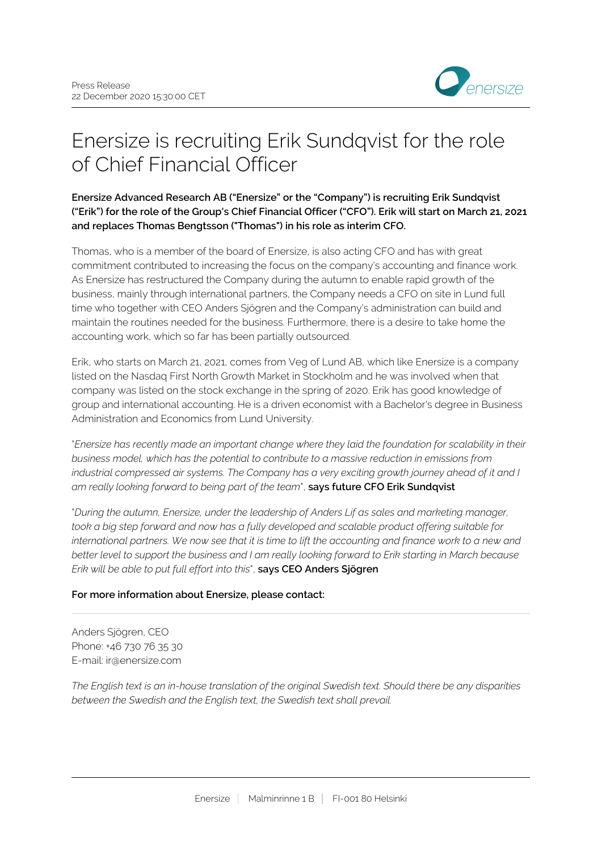

## Enersize is recruiting Erik Sundqvist for the role of Chief Financial Officer

**Enersize Advanced Research AB ("Enersize" or the "Company") is recruiting Erik Sundqvist ("Erik") for the role of the Group's Chief Financial Officer ("CFO"). Erik will start on March 21, 2021 and replaces Thomas Bengtsson ("Thomas") in his role as interim CFO.**

Thomas, who is a member of the board of Enersize, is also acting CFO and has with great commitment contributed to increasing the focus on the company's accounting and finance work. As Enersize has restructured the Company during the autumn to enable rapid growth of the business, mainly through international partners, the Company needs a CFO on site in Lund full time who together with CEO Anders Sjögren and the Company's administration can build and maintain the routines needed for the business. Furthermore, there is a desire to take home the accounting work, which so far has been partially outsourced.

Erik, who starts on March 21, 2021, comes from Veg of Lund AB, which like Enersize is a company listed on the Nasdaq First North Growth Market in Stockholm and he was involved when that company was listed on the stock exchange in the spring of 2020. Erik has good knowledge of group and international accounting. He is a driven economist with a Bachelor's degree in Business Administration and Economics from Lund University.

"*Enersize has recently made an important change where they laid the foundation for scalability in their business model, which has the potential to contribute to a massive reduction in emissions from industrial compressed air systems. The Company has a very exciting growth journey ahead of it and I am really looking forward to being part of the team*", **says future CFO Erik Sundqvist**

"*During the autumn, Enersize, under the leadership of Anders Lif as sales and marketing manager, took a big step forward and now has a fully developed and scalable product offering suitable for international partners. We now see that it is time to lift the accounting and finance work to a new and better level to support the business and I am really looking forward to Erik starting in March because Erik will be able to put full effort into this*", **says CEO Anders Sjögren**

## **For more information about Enersize, please contact:**

Anders Sjögren, CEO Phone: +46 730 76 35 30 E-mail: ir@enersize.com

*The English text is an in-house translation of the original Swedish text. Should there be any disparities between the Swedish and the English text, the Swedish text shall prevail.*